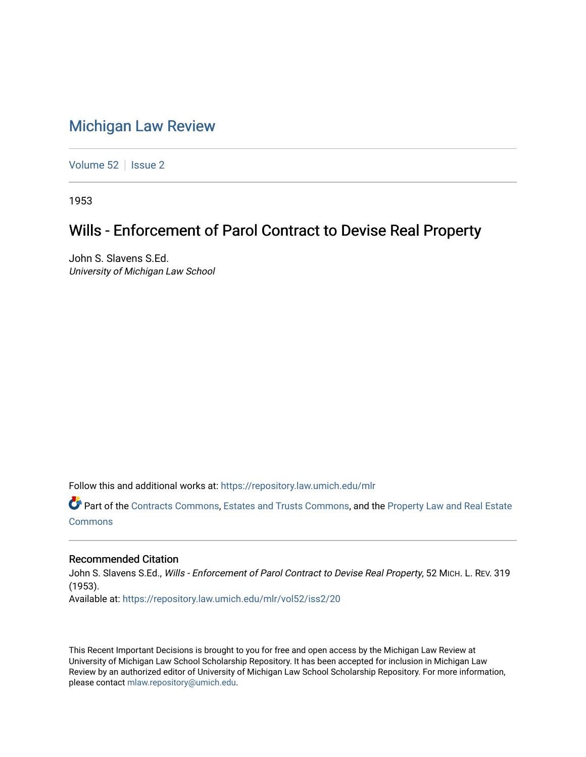## [Michigan Law Review](https://repository.law.umich.edu/mlr)

[Volume 52](https://repository.law.umich.edu/mlr/vol52) | [Issue 2](https://repository.law.umich.edu/mlr/vol52/iss2)

1953

## Wills - Enforcement of Parol Contract to Devise Real Property

John S. Slavens S.Ed. University of Michigan Law School

Follow this and additional works at: [https://repository.law.umich.edu/mlr](https://repository.law.umich.edu/mlr?utm_source=repository.law.umich.edu%2Fmlr%2Fvol52%2Fiss2%2F20&utm_medium=PDF&utm_campaign=PDFCoverPages) 

Part of the [Contracts Commons](http://network.bepress.com/hgg/discipline/591?utm_source=repository.law.umich.edu%2Fmlr%2Fvol52%2Fiss2%2F20&utm_medium=PDF&utm_campaign=PDFCoverPages), [Estates and Trusts Commons](http://network.bepress.com/hgg/discipline/906?utm_source=repository.law.umich.edu%2Fmlr%2Fvol52%2Fiss2%2F20&utm_medium=PDF&utm_campaign=PDFCoverPages), and the [Property Law and Real Estate](http://network.bepress.com/hgg/discipline/897?utm_source=repository.law.umich.edu%2Fmlr%2Fvol52%2Fiss2%2F20&utm_medium=PDF&utm_campaign=PDFCoverPages) [Commons](http://network.bepress.com/hgg/discipline/897?utm_source=repository.law.umich.edu%2Fmlr%2Fvol52%2Fiss2%2F20&utm_medium=PDF&utm_campaign=PDFCoverPages)

## Recommended Citation

John S. Slavens S.Ed., Wills - Enforcement of Parol Contract to Devise Real Property, 52 MICH. L. REV. 319 (1953). Available at: [https://repository.law.umich.edu/mlr/vol52/iss2/20](https://repository.law.umich.edu/mlr/vol52/iss2/20?utm_source=repository.law.umich.edu%2Fmlr%2Fvol52%2Fiss2%2F20&utm_medium=PDF&utm_campaign=PDFCoverPages) 

This Recent Important Decisions is brought to you for free and open access by the Michigan Law Review at University of Michigan Law School Scholarship Repository. It has been accepted for inclusion in Michigan Law Review by an authorized editor of University of Michigan Law School Scholarship Repository. For more information, please contact [mlaw.repository@umich.edu.](mailto:mlaw.repository@umich.edu)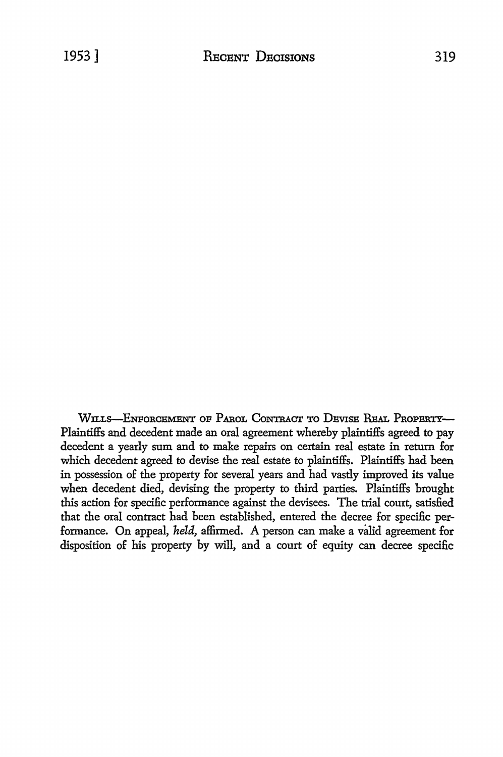WILLS-ENFORCEMENT OF PAROL CONTRACT TO DEVISE REAL PROPERTY-Plaintiffs and decedent made an oral agreement whereby plaintiffs agreed to pay decedent a yearly sum and to make repairs on certain real estate in return for which decedent agreed to devise the real estate to plaintiffs. Plaintiffs had been in possession of the property for several years and had vastly improved its value when decedent died, devising the property to third parties. Plaintiffs brought this action for specific performance against the devisees. The trial court, satisfied that the oral contract had been established, entered the decree for specific performance. On appeal, *held,* affirmed. A person can make a valid agreement for disposition of his property by will, and a court of equity can decree specific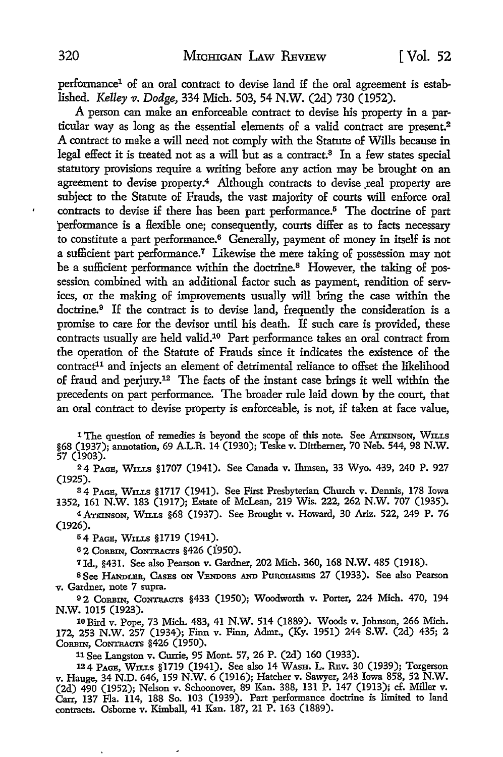performance1 of an oral contract to devise land if the oral agreement is established. *Kelley v. Dodge*, 334 Mich. 503, 54 N.W. (2d) 730 (1952).

A person can make an enforceable contract to devise his property in a particular way as long as the essential elements of a valid contract are present.<sup>2</sup> A contract to make a will need not comply with the Statute of Wills because in legal effect it is treated not as a will but as a contract.8 In a few states special statutory provisions require a writing before any action may be brought on an agreement to devise property.<sup>4</sup> Although contracts to devise real property are subject to the Statute of Frauds, the vast majority of courts will enforce oral contracts to devise if there has been part performance.<sup>5</sup> The doctrine of part performance is a flexible one; consequently, courts differ as to facts necessary to constitute a part performance.6 Generally, payment of money in itself is not a sufficient part performance.<sup>7</sup>Likewise the mere taking of possession may not be a sufficient performance within the doctrine.<sup>8</sup> However, the taking of possession combined with an additional factor such as payment, rendition of services, or the making of improvements usually will bring the case within the doctrine.<sup>9</sup> If the contract is to devise land, frequently the consideration is a promise to care for the devisor until his death. If such care is provided, these contracts usually are held valid.10 Part performance takes an oral contract from the operation of the Statute of Frauds since it indicates the existence of the contract<sup>11</sup> and injects an element of detrimental reliance to offset the likelihood of fraud and perjury.12 The facts of the instant case brings it well within the precedents on part performance. The broader rule laid down by the court, that an oral contract to devise property is enforceable, is not, if taken at face value,

<sup>1</sup> The question of remedies is beyond the scope of this note. See ATKINSON, WILLS §68 (1937); annotation, 69 A.L.R. 14 (1930); Teske v. Dittberner, 70 Neb. 544, 98 N.W. 57 (1903).

24 PAGE, WILLS §1707 (1941). See Canada v. Thmsen, 33 Wyo. 439, 240 P. 927 (1925).

s4 PAGE, WILLS §1717 (1941). See First Presbyterian Church v. Dennis, 178 Iowa 1352, 161 N.W. 183 (1917); Estate of McLean, 219 Wis. 222, 262 N.W. 707 (1935).

<sup>4</sup>ATKINSON, WILLS §68 (1937). See Brought v. Howard, 30 Ariz. 522, 249 P. 76 (1926).

<sup>5</sup>4 PAGE, WILLS §1719 (1941).

<sup>6</sup> 2 CORBIN, CONTRACTS §426 (1950).

<sup>7</sup>Id., §431. See also Pearson v. Gardner, 202 Mich. 360, 168 N.W. 485 (1918).

s See HANDLER, CAsEs ON VENDORS AND PURCHASERS 27 (1933). See also Pearson v. Gardner, note 7 supra.

<sup>9</sup> 2 CORBIN, CONTRACTS §433 (1950); Woodworth v. Porter, 224 Mich. 470, 194 N.W. 1015 (1923).

l0Bird v. Pope, 73 Mich. 483, 41 N.W. 514 (1889). Woods v. Johnson, 266 Mich. 172, 253 N.W. 257 (1934); Finn v. Finn, Admr., (Ky. 1951) 244 S.W. (2d) 435; 2 CORBIN, CONTRACTS §426 (1950).

11 See Langston v. Currie, 95 Mont. 57, 26 P. (2d) 160 (1933).

124 PAGE, WILLS §1719 (1941). See also 14 WASH. L. REv. 30 (1939); Torgerson v. Hauge, 34 N.D. 646, 159 N.W. 6 (1916); Hatcher v. Sawyer, 243 Iowa 858, 52 N.W. (2d) 490 (1952); Nelson v. Schoonover, 89 Kan. 388, 131 P. 147 (1913); cf. Miller v. Carr, 137 Fla. 114, 188 So. 103 (1939). Part performance doctrine is limited to land contracts. Osborne v. Kimball, 41 Kan. 187, 21 P. 163 (1889).